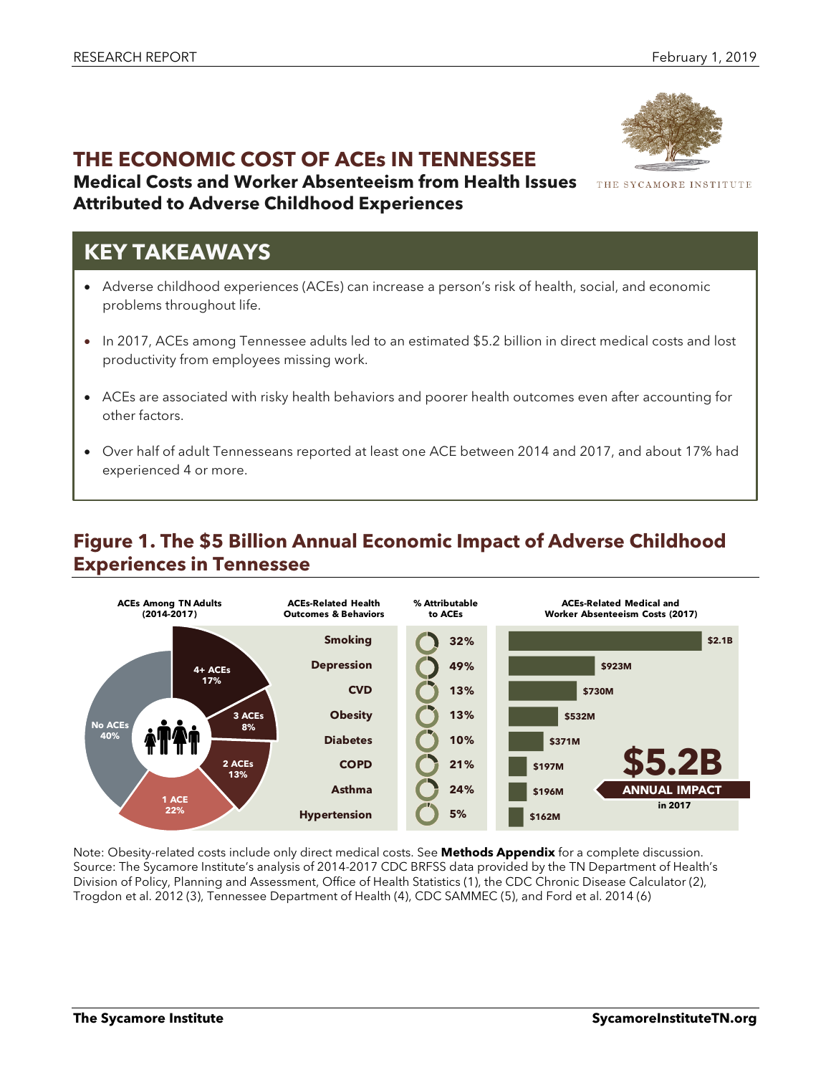# **THE ECONOMIC COST OF ACEs IN TENNESSEE**

**Medical Costs and Worker Absenteeism from Health Issues Attributed to Adverse Childhood Experiences**

# **KEY TAKEAWAYS**

- Adverse childhood experiences (ACEs) can increase a person's risk of health, social, and economic problems throughout life.
- In 2017, ACEs among Tennessee adults led to an estimated \$5.2 billion in direct medical costs and lost productivity from employees missing work.
- ACEs are associated with risky health behaviors and poorer health outcomes even after accounting for other factors.
- Over half of adult Tennesseans reported at least one ACE between 2014 and 2017, and about 17% had experienced 4 or more.

## **Figure 1. The \$5 Billion Annual Economic Impact of Adverse Childhood Experiences in Tennessee**



Note: Obesity-related costs include only direct medical costs. See **Methods Appendix** for a complete discussion. Source: The Sycamore Institute's analysis of 2014-2017 CDC BRFSS data provided by the TN Department of Health's Division of Policy, Planning and Assessment, Office of Health Statistics (1), the CDC Chronic Disease Calculator (2), Trogdon et al. 2012 (3), Tennessee Department of Health (4), CDC SAMMEC (5), and Ford et al. 2014 (6)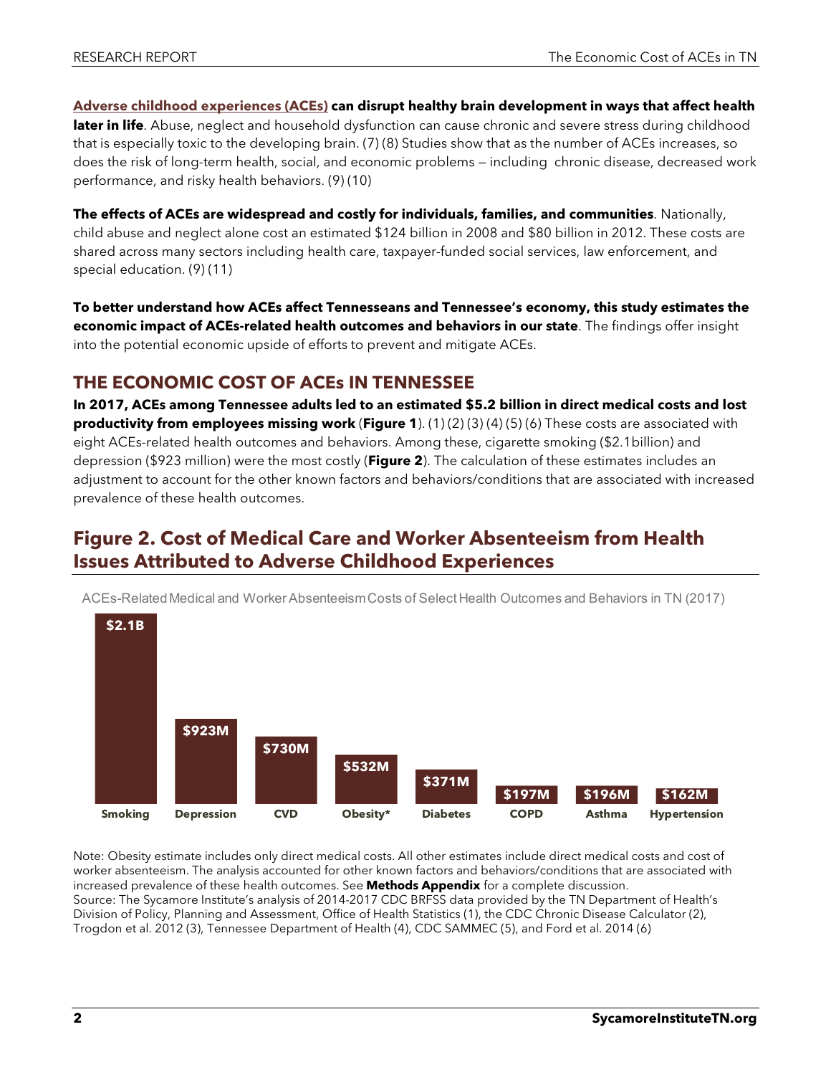**[Adverse childhood experiences \(ACEs\)](https://www.sycamoreinstitutetn.org/2017/07/05/adverse-childhood-experiences/) can disrupt healthy brain development in ways that affect health later in life**. Abuse, neglect and household dysfunction can cause chronic and severe stress during childhood that is especially toxic to the developing brain. (7) (8) Studies show that as the number of ACEs increases, so does the risk of long-term health, social, and economic problems — including chronic disease, decreased work performance, and risky health behaviors. (9) (10)

**The effects of ACEs are widespread and costly for individuals, families, and communities**. Nationally, child abuse and neglect alone cost an estimated \$124 billion in 2008 and \$80 billion in 2012. These costs are shared across many sectors including health care, taxpayer-funded social services, law enforcement, and special education. (9) (11)

**To better understand how ACEs affect Tennesseans and Tennessee's economy, this study estimates the economic impact of ACEs-related health outcomes and behaviors in our state**. The findings offer insight into the potential economic upside of efforts to prevent and mitigate ACEs.

### **THE ECONOMIC COST OF ACEs IN TENNESSEE**

**In 2017, ACEs among Tennessee adults led to an estimated \$5.2 billion in direct medical costs and lost productivity from employees missing work** (**Figure 1**). (1) (2) (3) (4) (5) (6) These costs are associated with eight ACEs-related health outcomes and behaviors. Among these, cigarette smoking (\$2.1billion) and depression (\$923 million) were the most costly (**Figure 2**). The calculation of these estimates includes an adjustment to account for the other known factors and behaviors/conditions that are associated with increased prevalence of these health outcomes.

## **Figure 2. Cost of Medical Care and Worker Absenteeism from Health Issues Attributed to Adverse Childhood Experiences**



ACEs-Related Medical and Worker Absenteeism Costs of Select Health Outcomes and Behaviors in TN (2017)

Note: Obesity estimate includes only direct medical costs. All other estimates include direct medical costs and cost of worker absenteeism. The analysis accounted for other known factors and behaviors/conditions that are associated with increased prevalence of these health outcomes. See **Methods Appendix** for a complete discussion. Source: The Sycamore Institute's analysis of 2014-2017 CDC BRFSS data provided by the TN Department of Health's Division of Policy, Planning and Assessment, Office of Health Statistics (1), the CDC Chronic Disease Calculator (2), Trogdon et al. 2012 (3), Tennessee Department of Health (4), CDC SAMMEC (5), and Ford et al. 2014 (6)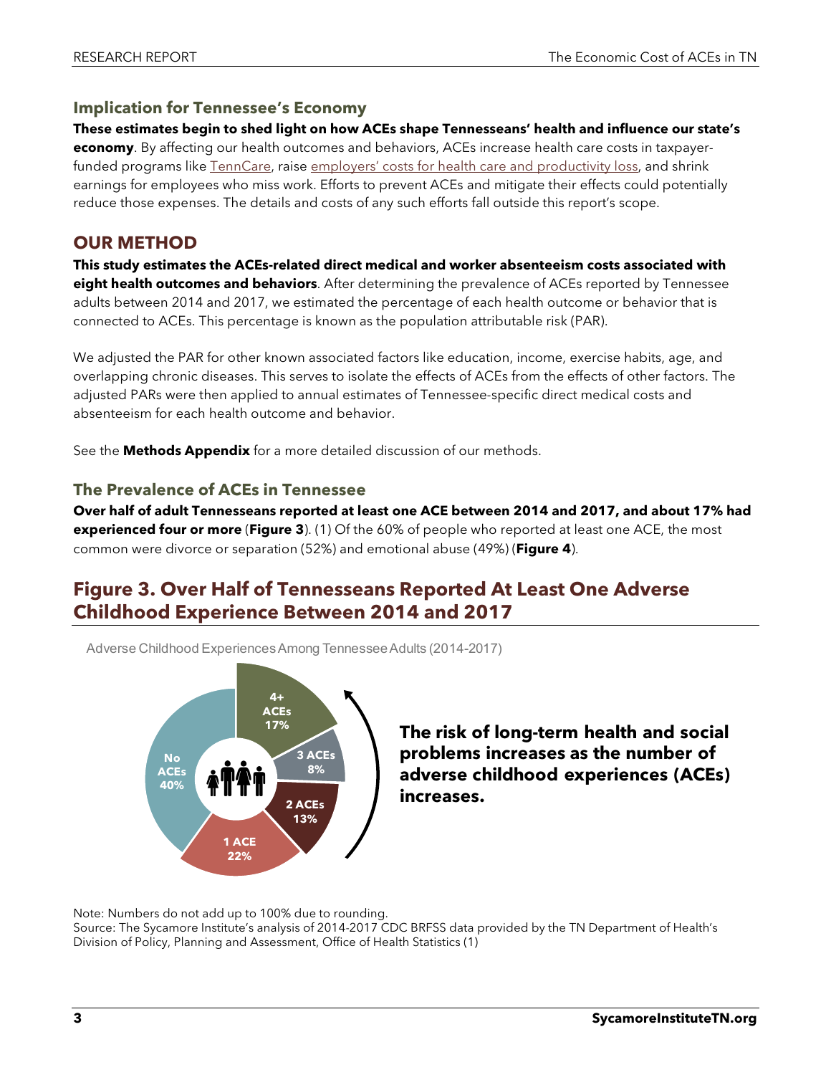#### **Implication for Tennessee's Economy**

**These estimates begin to shed light on how ACEs shape Tennesseans' health and influence our state's economy**. By affecting our health outcomes and behaviors, ACEs increase health care costs in taxpayer-funded programs like [TennCare,](https://www.sycamoreinstitutetn.org/2017/06/01/what-is-tenncare/) raise [employers' costs for health care and productivity loss,](https://www.sycamoreinstitutetn.org/2018/06/20/health-workforce-development/) and shrink earnings for employees who miss work. Efforts to prevent ACEs and mitigate their effects could potentially reduce those expenses. The details and costs of any such efforts fall outside this report's scope.

### **OUR METHOD**

**This study estimates the ACEs-related direct medical and worker absenteeism costs associated with eight health outcomes and behaviors**. After determining the prevalence of ACEs reported by Tennessee adults between 2014 and 2017, we estimated the percentage of each health outcome or behavior that is connected to ACEs. This percentage is known as the population attributable risk (PAR).

We adjusted the PAR for other known associated factors like education, income, exercise habits, age, and overlapping chronic diseases. This serves to isolate the effects of ACEs from the effects of other factors. The adjusted PARs were then applied to annual estimates of Tennessee-specific direct medical costs and absenteeism for each health outcome and behavior.

See the **Methods Appendix** for a more detailed discussion of our methods.

#### **The Prevalence of ACEs in Tennessee**

**Over half of adult Tennesseans reported at least one ACE between 2014 and 2017, and about 17% had experienced four or more** (**Figure 3**). (1) Of the 60% of people who reported at least one ACE, the most common were divorce or separation (52%) and emotional abuse (49%) (**Figure 4**).

## **Figure 3. Over Half of Tennesseans Reported At Least One Adverse Childhood Experience Between 2014 and 2017**

Adverse Childhood Experiences Among Tennessee Adults (2014-2017)



**The risk of long-term health and social problems increases as the number of adverse childhood experiences (ACEs) increases.**

Note: Numbers do not add up to 100% due to rounding.

Source: The Sycamore Institute's analysis of 2014-2017 CDC BRFSS data provided by the TN Department of Health's Division of Policy, Planning and Assessment, Office of Health Statistics (1)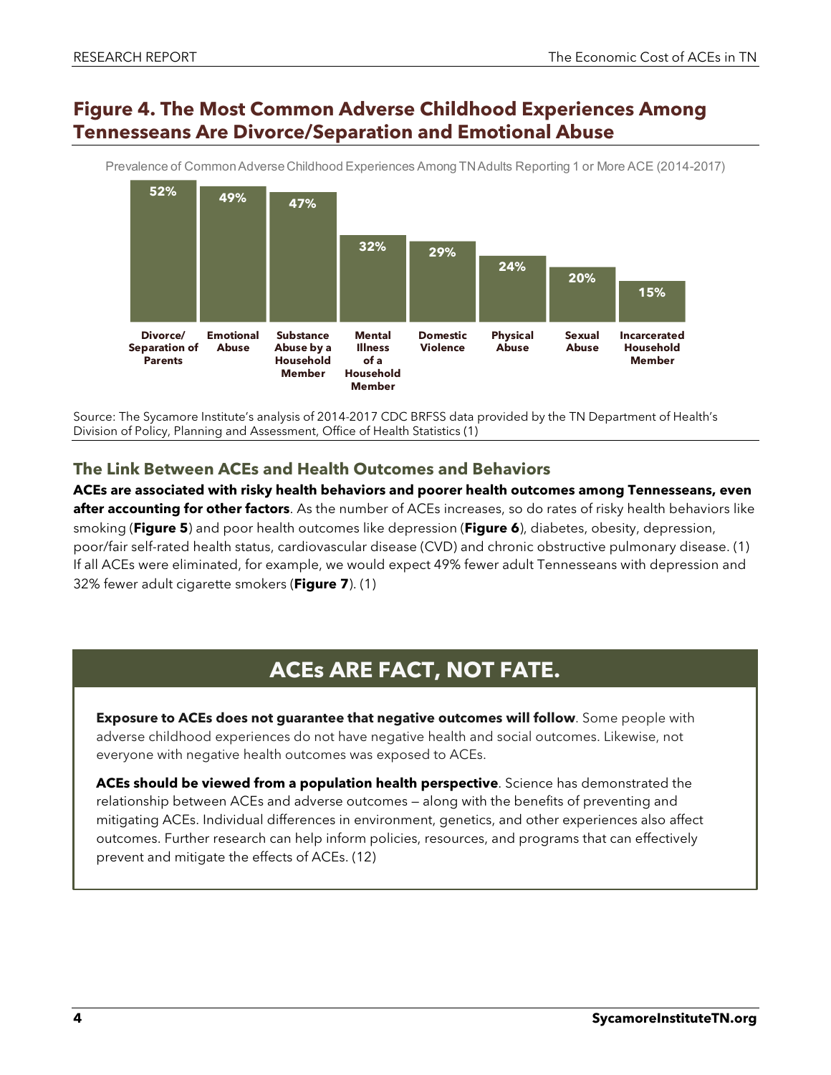### **Figure 4. The Most Common Adverse Childhood Experiences Among Tennesseans Are Divorce/Separation and Emotional Abuse**



Prevalence of Common Adverse Childhood Experiences Among TN Adults Reporting 1 or More ACE (2014-2017)

Source: The Sycamore Institute's analysis of 2014-2017 CDC BRFSS data provided by the TN Department of Health's Division of Policy, Planning and Assessment, Office of Health Statistics (1)

#### **The Link Between ACEs and Health Outcomes and Behaviors**

**ACEs are associated with risky health behaviors and poorer health outcomes among Tennesseans, even after accounting for other factors**. As the number of ACEs increases, so do rates of risky health behaviors like smoking (**Figure 5**) and poor health outcomes like depression (**Figure 6**), diabetes, obesity, depression, poor/fair self-rated health status, cardiovascular disease (CVD) and chronic obstructive pulmonary disease. (1) If all ACEs were eliminated, for example, we would expect 49% fewer adult Tennesseans with depression and 32% fewer adult cigarette smokers (**Figure 7**). (1)

# **ACEs ARE FACT, NOT FATE.**

**Exposure to ACEs does not guarantee that negative outcomes will follow**. Some people with adverse childhood experiences do not have negative health and social outcomes. Likewise, not everyone with negative health outcomes was exposed to ACEs.

**ACEs should be viewed from a population health perspective**. Science has demonstrated the relationship between ACEs and adverse outcomes — along with the benefits of preventing and mitigating ACEs. Individual differences in environment, genetics, and other experiences also affect outcomes. Further research can help inform policies, resources, and programs that can effectively prevent and mitigate the effects of ACEs. (12)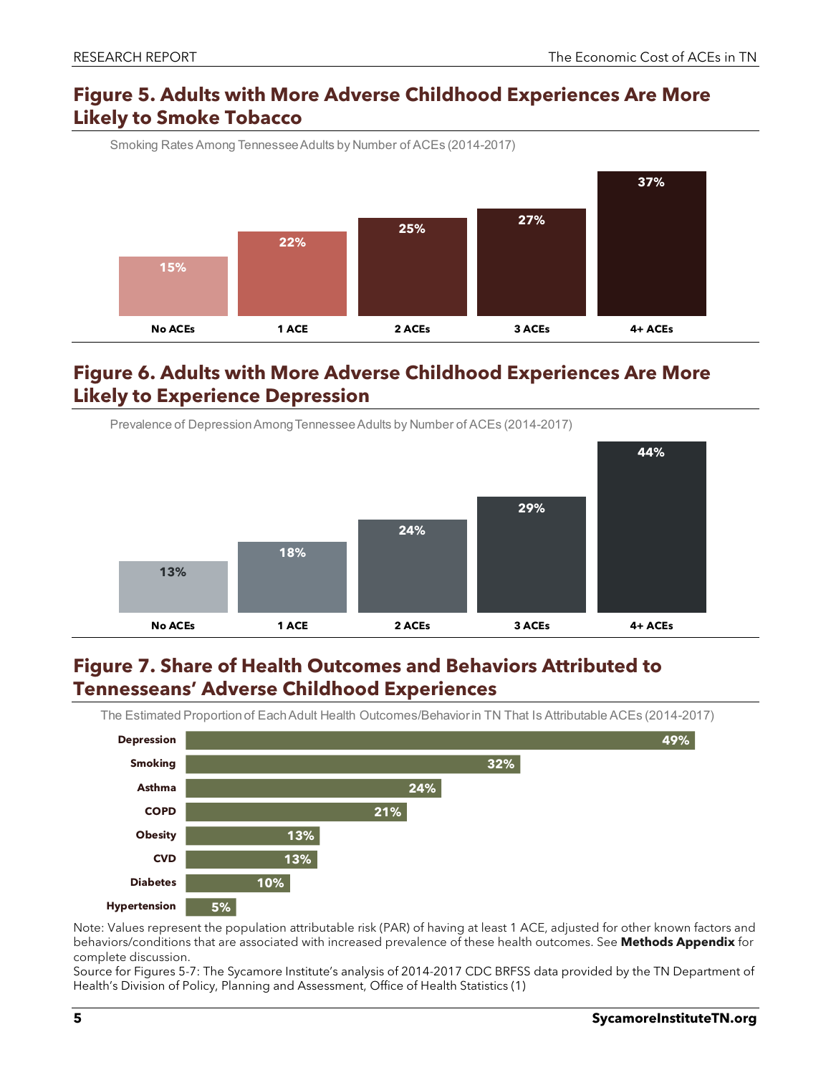### **Figure 5. Adults with More Adverse Childhood Experiences Are More Likely to Smoke Tobacco**



**Figure 6. Adults with More Adverse Childhood Experiences Are More Likely to Experience Depression**



## **Figure 7. Share of Health Outcomes and Behaviors Attributed to Tennesseans' Adverse Childhood Experiences**

The Estimated Proportion of Each Adult Health Outcomes/Behavior in TN That Is Attributable ACEs (2014-2017)



Note: Values represent the population attributable risk (PAR) of having at least 1 ACE, adjusted for other known factors and behaviors/conditions that are associated with increased prevalence of these health outcomes. See **Methods Appendix** for complete discussion.

Source for Figures 5-7: The Sycamore Institute's analysis of 2014-2017 CDC BRFSS data provided by the TN Department of Health's Division of Policy, Planning and Assessment, Office of Health Statistics (1)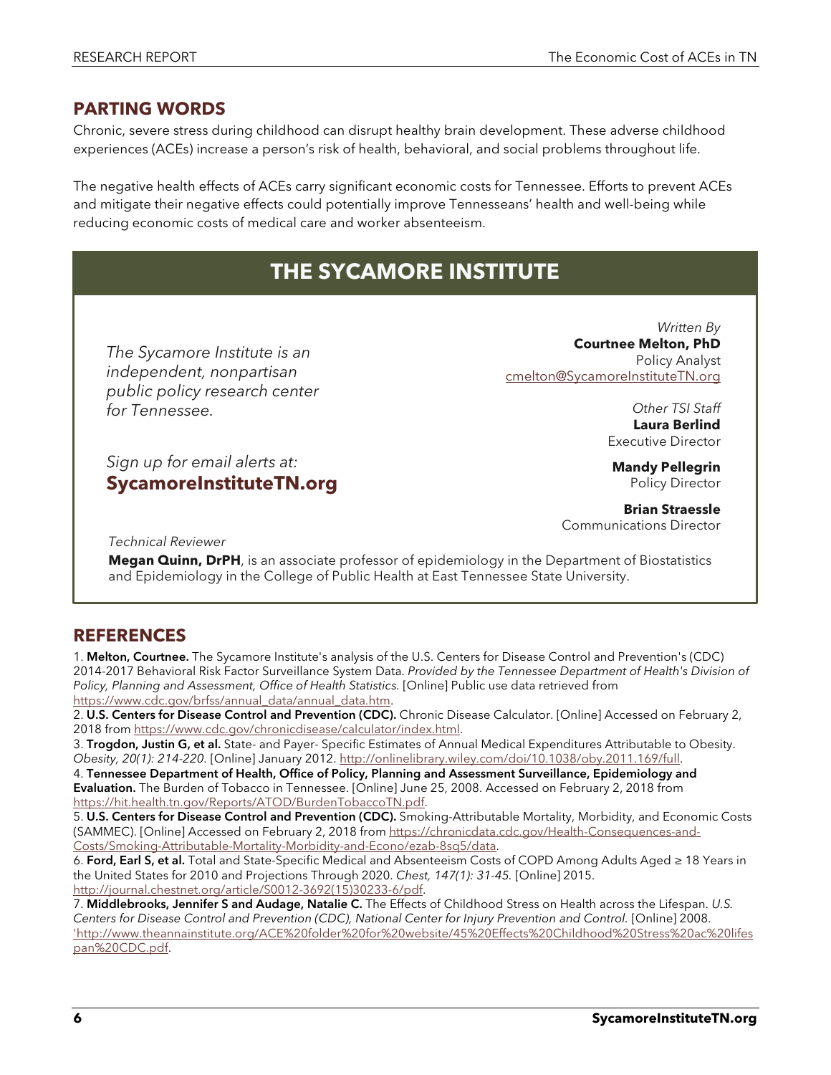#### **PARTING WORDS**

Chronic, severe stress during childhood can disrupt healthy brain development. These adverse childhood experiences (ACEs) increase a person's risk of health, behavioral, and social problems throughout life.

The negative health effects of ACEs carry significant economic costs for Tennessee. Efforts to prevent ACEs and mitigate their negative effects could potentially improve Tennesseans' health and well-being while reducing economic costs of medical care and worker absenteeism.

# **THE SYCAMORE INSTITUTE**

*The Sycamore Institute is an independent, nonpartisan public policy research center for Tennessee.*

*Sign up for email alerts at:* **[SycamoreInstituteTN.org](http://www.sycamoreinstitutetn.org/)**

*Written By* **Courtnee Melton, PhD** Policy Analyst [cmelton@SycamoreInstituteTN.org](mailto:cmelton@SycamoreInstituteTN.org)

> *Other TSI Staff* **Laura Berlind** Executive Director

**Mandy Pellegrin** Policy Director

**Brian Straessle** Communications Director

*Technical Reviewer*

**Megan Quinn, DrPH**, is an associate professor of epidemiology in the Department of Biostatistics and Epidemiology in the College of Public Health at East Tennessee State University.

### **REFERENCES**

1. Melton, Courtnee. The Sycamore Institute's analysis of the U.S. Centers for Disease Control and Prevention's (CDC) 2014-2017 Behavioral Risk Factor Surveillance System Data. *Provided by the Tennessee Department of Health's Division of*  Policy, Planning and Assessment, Office of Health Statistics. [Online] Public use data retrieved from [https://www.cdc.gov/brfss/annual\\_data/annual\\_data.htm.](https://www.cdc.gov/brfss/annual_data/annual_data.htm)

2. U.S. Centers for Disease Control and Prevention (CDC). Chronic Disease Calculator. [Online] Accessed on February 2, 2018 from [https://www.cdc.gov/chronicdisease/calculator/index.html.](https://www.cdc.gov/chronicdisease/calculator/index.html)

3. Trogdon, Justin G, et al. State- and Payer- Specific Estimates of Annual Medical Expenditures Attributable to Obesity. *Obesity, 20(1): 214-220.* [Online] January 2012[. http://onlinelibrary.wiley.com/doi/10.1038/oby.2011.169/full.](http://onlinelibrary.wiley.com/doi/10.1038/oby.2011.169/full)

4. Tennessee Department of Health, Office of Policy, Planning and Assessment Surveillance, Epidemiology and Evaluation. The Burden of Tobacco in Tennessee. [Online] June 25, 2008. Accessed on February 2, 2018 from [https://hit.health.tn.gov/Reports/ATOD/BurdenTobaccoTN.pdf.](https://hit.health.tn.gov/Reports/ATOD/BurdenTobaccoTN.pdf)

5. U.S. Centers for Disease Control and Prevention (CDC). Smoking-Attributable Mortality, Morbidity, and Economic Costs (SAMMEC). [Online] Accessed on February 2, 2018 from [https://chronicdata.cdc.gov/Health-Consequences-and-](https://chronicdata.cdc.gov/Health-Consequences-and-Costs/Smoking-Attributable-Mortality-Morbidity-and-Econo/ezab-8sq5/data)[Costs/Smoking-Attributable-Mortality-Morbidity-and-Econo/ezab-8sq5/data.](https://chronicdata.cdc.gov/Health-Consequences-and-Costs/Smoking-Attributable-Mortality-Morbidity-and-Econo/ezab-8sq5/data)

6. Ford, Earl S, et al. Total and State-Specific Medical and Absenteeism Costs of COPD Among Adults Aged ≥ 18 Years in the United States for 2010 and Projections Through 2020. *Chest, 147(1): 31-45.* [Online] 2015. [http://journal.chestnet.org/article/S0012-3692\(15\)30233-6/pdf.](http://journal.chestnet.org/article/S0012-3692(15)30233-6/pdf)

7. Middlebrooks, Jennifer S and Audage, Natalie C. The Effects of Childhood Stress on Health across the Lifespan. *U.S. Centers for Disease Control and Prevention (CDC), National Center for Injury Prevention and Control.* [Online] 2008. 'http://www.theannainstitute.org/ACE%20folder%20for%20website/45%20Effects%20Childhood%20Stress%20ac%20lifes pan%20CDC.pdf.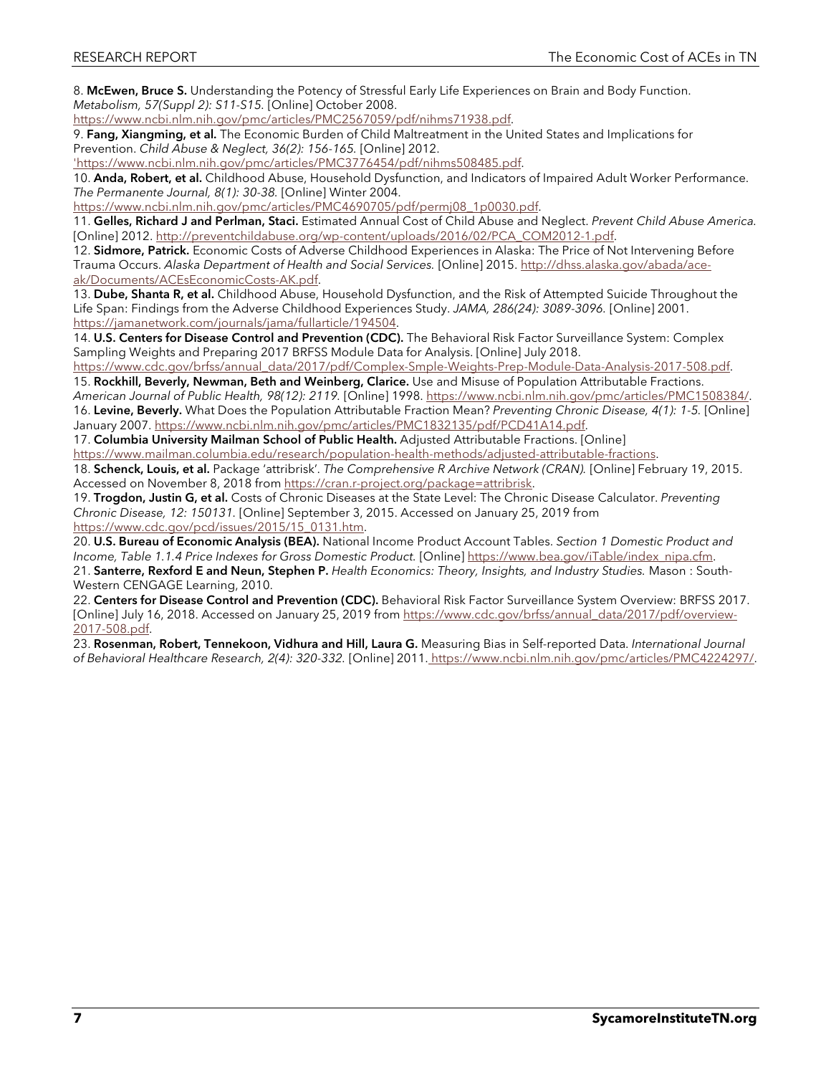8. McEwen, Bruce S. Understanding the Potency of Stressful Early Life Experiences on Brain and Body Function. *Metabolism, 57(Suppl 2): S11-S15.* [Online] October 2008.

[https://www.ncbi.nlm.nih.gov/pmc/articles/PMC2567059/pdf/nihms71938.pdf.](https://www.ncbi.nlm.nih.gov/pmc/articles/PMC2567059/pdf/nihms71938.pdf)

9. Fang, Xiangming, et al. The Economic Burden of Child Maltreatment in the United States and Implications for Prevention. *Child Abuse & Neglect, 36(2): 156-165.* [Online] 2012.

'https://www.ncbi.nlm.nih.gov/pmc/articles/PMC3776454/pdf/nihms508485.pdf.

10. Anda, Robert, et al. Childhood Abuse, Household Dysfunction, and Indicators of Impaired Adult Worker Performance. *The Permanente Journal, 8(1): 30-38.* [Online] Winter 2004.

[https://www.ncbi.nlm.nih.gov/pmc/articles/PMC4690705/pdf/permj08\\_1p0030.pdf.](https://www.ncbi.nlm.nih.gov/pmc/articles/PMC4690705/pdf/permj08_1p0030.pdf)

11. Gelles, Richard J and Perlman, Staci. Estimated Annual Cost of Child Abuse and Neglect. *Prevent Child Abuse America.*  [Online] 2012. [http://preventchildabuse.org/wp-content/uploads/2016/02/PCA\\_COM2012-1.pdf.](http://preventchildabuse.org/wp-content/uploads/2016/02/PCA_COM2012-1.pdf)

12. Sidmore, Patrick. Economic Costs of Adverse Childhood Experiences in Alaska: The Price of Not Intervening Before Trauma Occurs. *Alaska Department of Health and Social Services.* [Online] 2015[. http://dhss.alaska.gov/abada/ace](http://dhss.alaska.gov/abada/ace-ak/Documents/ACEsEconomicCosts-AK.pdf)[ak/Documents/ACEsEconomicCosts-AK.pdf.](http://dhss.alaska.gov/abada/ace-ak/Documents/ACEsEconomicCosts-AK.pdf)

13. Dube, Shanta R, et al. Childhood Abuse, Household Dysfunction, and the Risk of Attempted Suicide Throughout the Life Span: Findings from the Adverse Childhood Experiences Study. *JAMA, 286(24): 3089-3096.* [Online] 2001. [https://jamanetwork.com/journals/jama/fullarticle/194504.](https://jamanetwork.com/journals/jama/fullarticle/194504)

14. U.S. Centers for Disease Control and Prevention (CDC). The Behavioral Risk Factor Surveillance System: Complex Sampling Weights and Preparing 2017 BRFSS Module Data for Analysis. [Online] July 2018.

[https://www.cdc.gov/brfss/annual\\_data/2017/pdf/Complex-Smple-Weights-Prep-Module-Data-Analysis-2017-508.pdf.](https://www.cdc.gov/brfss/annual_data/2017/pdf/Complex-Smple-Weights-Prep-Module-Data-Analysis-2017-508.pdf)

15. Rockhill, Beverly, Newman, Beth and Weinberg, Clarice. Use and Misuse of Population Attributable Fractions. *American Journal of Public Health, 98(12): 2119.* [Online] 1998. [https://www.ncbi.nlm.nih.gov/pmc/articles/PMC1508384/.](https://www.ncbi.nlm.nih.gov/pmc/articles/PMC1508384/)

16. Levine, Beverly. What Does the Population Attributable Fraction Mean? *Preventing Chronic Disease, 4(1): 1-5.* [Online] January 2007. [https://www.ncbi.nlm.nih.gov/pmc/articles/PMC1832135/pdf/PCD41A14.pdf.](https://www.ncbi.nlm.nih.gov/pmc/articles/PMC1832135/pdf/PCD41A14.pdf)

17. Columbia University Mailman School of Public Health. Adjusted Attributable Fractions. [Online] [https://www.mailman.columbia.edu/research/population-health-methods/adjusted-attributable-fractions.](https://www.mailman.columbia.edu/research/population-health-methods/adjusted-attributable-fractions)

18. Schenck, Louis, et al. Package 'attribrisk'. *The Comprehensive R Archive Network (CRAN).* [Online] February 19, 2015. Accessed on November 8, 2018 from [https://cran.r-project.org/package=attribrisk.](https://cran.r-project.org/package=attribrisk)

19. Trogdon, Justin G, et al. Costs of Chronic Diseases at the State Level: The Chronic Disease Calculator. *Preventing Chronic Disease, 12: 150131.* [Online] September 3, 2015. Accessed on January 25, 2019 from [https://www.cdc.gov/pcd/issues/2015/15\\_0131.htm.](https://www.cdc.gov/pcd/issues/2015/15_0131.htm)

20. U.S. Bureau of Economic Analysis (BEA). National Income Product Account Tables. *Section 1 Domestic Product and Income, Table 1.1.4 Price Indexes for Gross Domestic Product.* [Online[\] https://www.bea.gov/iTable/index\\_nipa.cfm.](https://www.bea.gov/iTable/index_nipa.cfm) 21. Santerre, Rexford E and Neun, Stephen P. *Health Economics: Theory, Insights, and Industry Studies.* Mason : South-Western CENGAGE Learning, 2010.

22. Centers for Disease Control and Prevention (CDC). Behavioral Risk Factor Surveillance System Overview: BRFSS 2017. [Online] July 16, 2018. Accessed on January 25, 2019 from [https://www.cdc.gov/brfss/annual\\_data/2017/pdf/overview-](https://www.cdc.gov/brfss/annual_data/2017/pdf/overview-2017-508.pdf)[2017-508.pdf.](https://www.cdc.gov/brfss/annual_data/2017/pdf/overview-2017-508.pdf)

23. Rosenman, Robert, Tennekoon, Vidhura and Hill, Laura G. Measuring Bias in Self-reported Data. *International Journal of Behavioral Healthcare Research, 2(4): 320-332.* [Online] 2011. [https://www.ncbi.nlm.nih.gov/pmc/articles/PMC4224297/.](https://www.ncbi.nlm.nih.gov/pmc/articles/PMC4224297/)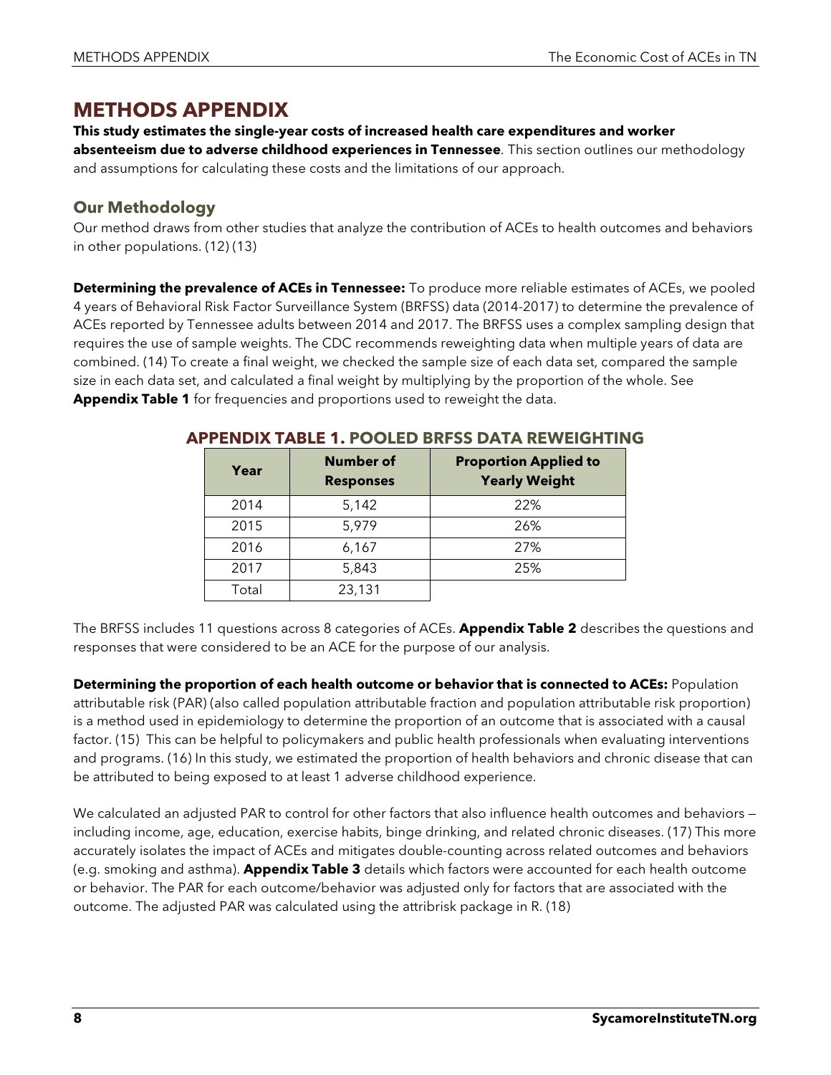# **METHODS APPENDIX**

# **This study estimates the single-year costs of increased health care expenditures and worker**

**absenteeism due to adverse childhood experiences in Tennessee**. This section outlines our methodology and assumptions for calculating these costs and the limitations of our approach.

### **Our Methodology**

Our method draws from other studies that analyze the contribution of ACEs to health outcomes and behaviors in other populations. (12) (13)

**Determining the prevalence of ACEs in Tennessee:** To produce more reliable estimates of ACEs, we pooled 4 years of Behavioral Risk Factor Surveillance System (BRFSS) data (2014-2017) to determine the prevalence of ACEs reported by Tennessee adults between 2014 and 2017. The BRFSS uses a complex sampling design that requires the use of sample weights. The CDC recommends reweighting data when multiple years of data are combined. (14) To create a final weight, we checked the sample size of each data set, compared the sample size in each data set, and calculated a final weight by multiplying by the proportion of the whole. See **Appendix Table 1** for frequencies and proportions used to reweight the data.

| Year  | <b>Number of</b><br><b>Responses</b> | <b>Proportion Applied to</b><br><b>Yearly Weight</b> |
|-------|--------------------------------------|------------------------------------------------------|
| 2014  | 5,142                                | 22%                                                  |
| 2015  | 5,979                                | 26%                                                  |
| 2016  | 6,167                                | 27%                                                  |
| 2017  | 5,843                                | 25%                                                  |
| Total | 23,131                               |                                                      |

#### **APPENDIX TABLE 1. POOLED BRFSS DATA REWEIGHTING**

The BRFSS includes 11 questions across 8 categories of ACEs. **Appendix Table 2** describes the questions and responses that were considered to be an ACE for the purpose of our analysis.

**Determining the proportion of each health outcome or behavior that is connected to ACEs:** Population attributable risk (PAR) (also called population attributable fraction and population attributable risk proportion) is a method used in epidemiology to determine the proportion of an outcome that is associated with a causal factor. (15) This can be helpful to policymakers and public health professionals when evaluating interventions and programs. (16) In this study, we estimated the proportion of health behaviors and chronic disease that can be attributed to being exposed to at least 1 adverse childhood experience.

We calculated an adjusted PAR to control for other factors that also influence health outcomes and behaviors including income, age, education, exercise habits, binge drinking, and related chronic diseases. (17) This more accurately isolates the impact of ACEs and mitigates double-counting across related outcomes and behaviors (e.g. smoking and asthma). **Appendix Table 3** details which factors were accounted for each health outcome or behavior. The PAR for each outcome/behavior was adjusted only for factors that are associated with the outcome. The adjusted PAR was calculated using the attribrisk package in R. (18)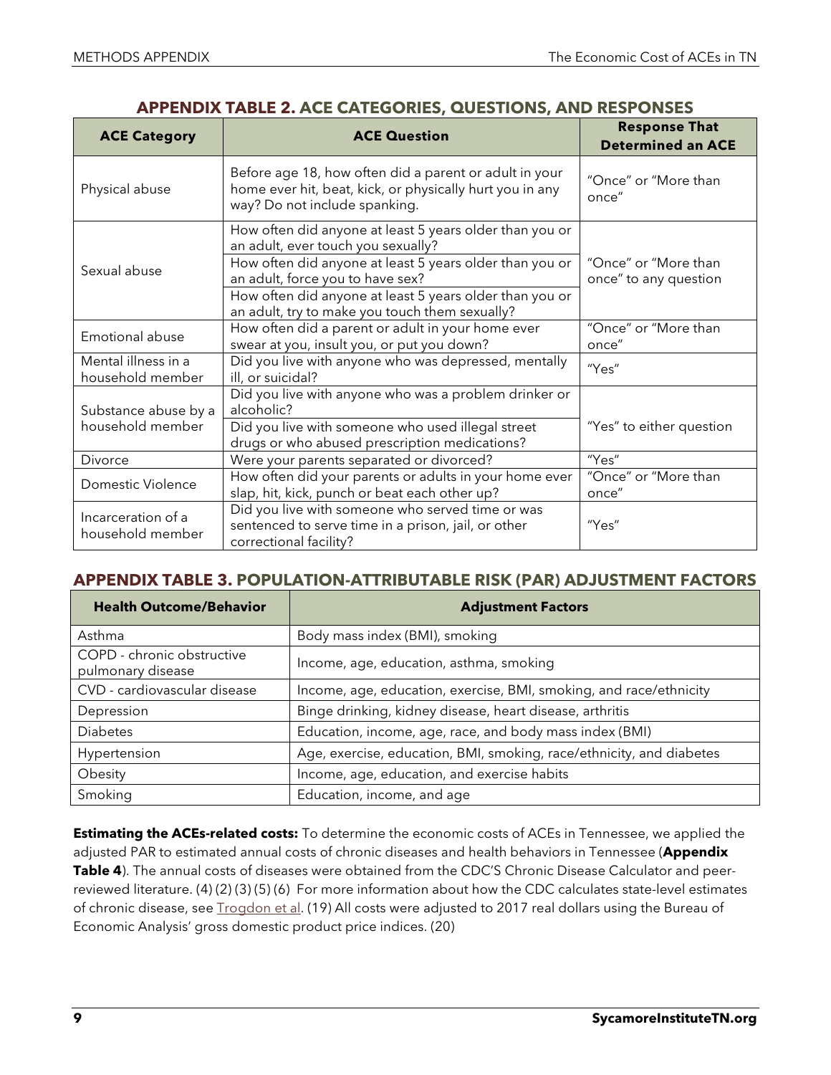| <b>ACE Category</b>                                                                                                                                                         | <b>ACE Question</b>                                                                                                                                                                                                                                                                                       | <b>Response That</b><br><b>Determined an ACE</b> |
|-----------------------------------------------------------------------------------------------------------------------------------------------------------------------------|-----------------------------------------------------------------------------------------------------------------------------------------------------------------------------------------------------------------------------------------------------------------------------------------------------------|--------------------------------------------------|
| Physical abuse                                                                                                                                                              | Before age 18, how often did a parent or adult in your<br>home ever hit, beat, kick, or physically hurt you in any<br>way? Do not include spanking.                                                                                                                                                       | "Once" or "More than<br>once"                    |
| Sexual abuse                                                                                                                                                                | How often did anyone at least 5 years older than you or<br>an adult, ever touch you sexually?<br>How often did anyone at least 5 years older than you or<br>an adult, force you to have sex?<br>How often did anyone at least 5 years older than you or<br>an adult, try to make you touch them sexually? | "Once" or "More than<br>once" to any question    |
| Emotional abuse                                                                                                                                                             | How often did a parent or adult in your home ever<br>swear at you, insult you, or put you down?                                                                                                                                                                                                           | "Once" or "More than<br>once"                    |
| Mental illness in a<br>household member                                                                                                                                     | Did you live with anyone who was depressed, mentally<br>ill, or suicidal?                                                                                                                                                                                                                                 | "Yes"                                            |
| Substance abuse by a<br>household member                                                                                                                                    | Did you live with anyone who was a problem drinker or<br>alcoholic?<br>Did you live with someone who used illegal street<br>drugs or who abused prescription medications?                                                                                                                                 |                                                  |
| Divorce                                                                                                                                                                     | Were your parents separated or divorced?                                                                                                                                                                                                                                                                  | "Yes"                                            |
| Domestic Violence                                                                                                                                                           | How often did your parents or adults in your home ever<br>slap, hit, kick, punch or beat each other up?                                                                                                                                                                                                   | "Once" or "More than<br>once"                    |
| Did you live with someone who served time or was<br>Incarceration of a<br>sentenced to serve time in a prison, jail, or other<br>household member<br>correctional facility? |                                                                                                                                                                                                                                                                                                           | "Yes"                                            |

#### **APPENDIX TABLE 3. POPULATION-ATTRIBUTABLE RISK (PAR) ADJUSTMENT FACTORS**

| <b>Health Outcome/Behavior</b>                  | <b>Adjustment Factors</b>                                            |  |
|-------------------------------------------------|----------------------------------------------------------------------|--|
| Asthma                                          | Body mass index (BMI), smoking                                       |  |
| COPD - chronic obstructive<br>pulmonary disease | Income, age, education, asthma, smoking                              |  |
| CVD - cardiovascular disease                    | Income, age, education, exercise, BMI, smoking, and race/ethnicity   |  |
| Depression                                      | Binge drinking, kidney disease, heart disease, arthritis             |  |
| <b>Diabetes</b>                                 | Education, income, age, race, and body mass index (BMI)              |  |
| Hypertension                                    | Age, exercise, education, BMI, smoking, race/ethnicity, and diabetes |  |
| Obesity                                         | Income, age, education, and exercise habits                          |  |
| Smoking                                         | Education, income, and age                                           |  |

**Estimating the ACEs-related costs:** To determine the economic costs of ACEs in Tennessee, we applied the adjusted PAR to estimated annual costs of chronic diseases and health behaviors in Tennessee (**Appendix Table 4**). The annual costs of diseases were obtained from the CDC'S Chronic Disease Calculator and peerreviewed literature. (4) (2) (3) (5) (6) For more information about how the CDC calculates state-level estimates of chronic disease, see [Trogdon et al.](https://www.cdc.gov/pcd/issues/2015/15_0131.htm) (19) All costs were adjusted to 2017 real dollars using the Bureau of Economic Analysis' gross domestic product price indices. (20)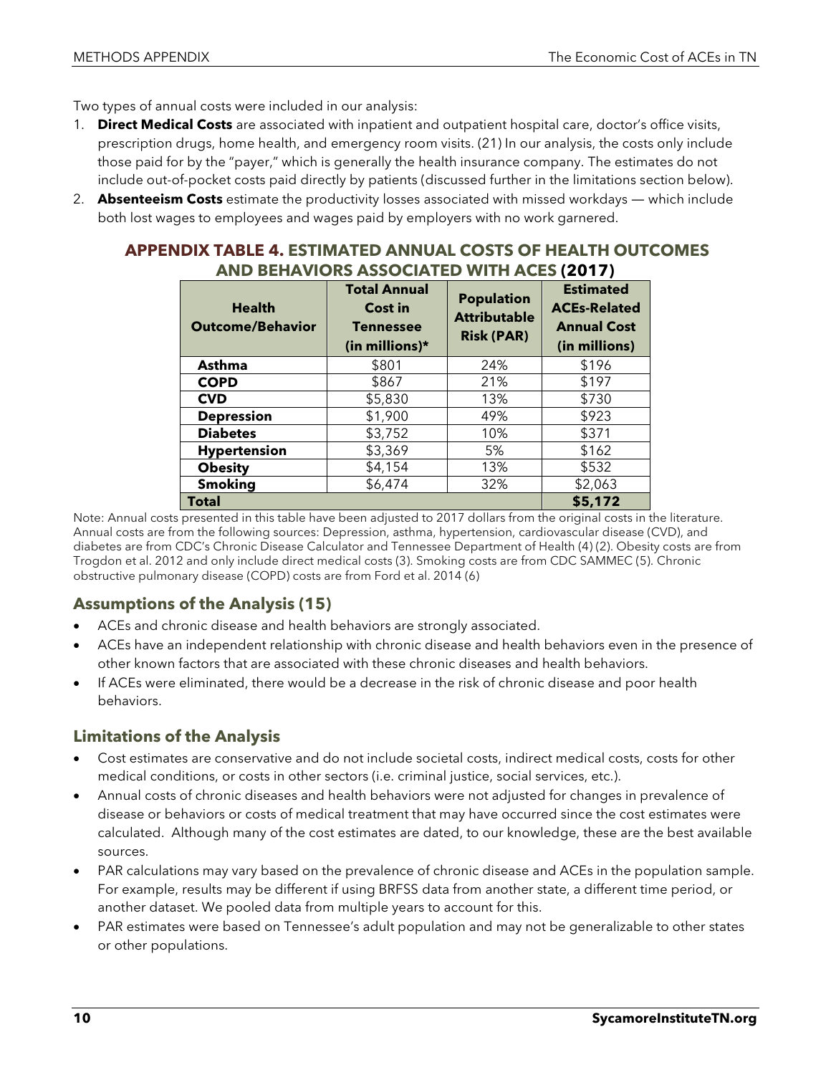Two types of annual costs were included in our analysis:

- 1. **Direct Medical Costs** are associated with inpatient and outpatient hospital care, doctor's office visits, prescription drugs, home health, and emergency room visits. (21) In our analysis, the costs only include those paid for by the "payer," which is generally the health insurance company. The estimates do not include out-of-pocket costs paid directly by patients (discussed further in the limitations section below).
- 2. **Absenteeism Costs** estimate the productivity losses associated with missed workdays which include both lost wages to employees and wages paid by employers with no work garnered.

#### **APPENDIX TABLE 4. ESTIMATED ANNUAL COSTS OF HEALTH OUTCOMES AND BEHAVIORS ASSOCIATED WITH ACES (2017)**

| <b>Health</b><br><b>Outcome/Behavior</b> | <b>Total Annual</b><br>Cost in<br><b>Tennessee</b><br>(in millions)* | <b>Population</b><br><b>Attributable</b><br><b>Risk (PAR)</b> | <b>Estimated</b><br><b>ACEs-Related</b><br><b>Annual Cost</b><br>(in millions) |
|------------------------------------------|----------------------------------------------------------------------|---------------------------------------------------------------|--------------------------------------------------------------------------------|
| Asthma                                   | \$801                                                                | 24%                                                           | \$196                                                                          |
| <b>COPD</b>                              | \$867                                                                | 21%                                                           | \$197                                                                          |
| <b>CVD</b>                               | \$5,830                                                              | 13%                                                           | \$730                                                                          |
| <b>Depression</b>                        | \$1,900                                                              | 49%                                                           | \$923                                                                          |
| <b>Diabetes</b>                          | \$3,752                                                              | 10%                                                           | \$371                                                                          |
| <b>Hypertension</b>                      | \$3,369                                                              | 5%                                                            | \$162                                                                          |
| <b>Obesity</b>                           | \$4,154                                                              | 13%                                                           | \$532                                                                          |
| <b>Smoking</b>                           | \$6,474                                                              | 32%                                                           | \$2,063                                                                        |
| Total                                    |                                                                      |                                                               | \$5,172                                                                        |

Note: Annual costs presented in this table have been adjusted to 2017 dollars from the original costs in the literature. Annual costs are from the following sources: Depression, asthma, hypertension, cardiovascular disease (CVD), and diabetes are from CDC's Chronic Disease Calculator and Tennessee Department of Health (4) (2). Obesity costs are from Trogdon et al. 2012 and only include direct medical costs (3). Smoking costs are from CDC SAMMEC (5). Chronic obstructive pulmonary disease (COPD) costs are from Ford et al. 2014 (6)

### **Assumptions of the Analysis (15)**

- ACEs and chronic disease and health behaviors are strongly associated.
- ACEs have an independent relationship with chronic disease and health behaviors even in the presence of other known factors that are associated with these chronic diseases and health behaviors.
- If ACEs were eliminated, there would be a decrease in the risk of chronic disease and poor health behaviors.

#### **Limitations of the Analysis**

- Cost estimates are conservative and do not include societal costs, indirect medical costs, costs for other medical conditions, or costs in other sectors (i.e. criminal justice, social services, etc.).
- Annual costs of chronic diseases and health behaviors were not adjusted for changes in prevalence of disease or behaviors or costs of medical treatment that may have occurred since the cost estimates were calculated. Although many of the cost estimates are dated, to our knowledge, these are the best available sources.
- PAR calculations may vary based on the prevalence of chronic disease and ACEs in the population sample. For example, results may be different if using BRFSS data from another state, a different time period, or another dataset. We pooled data from multiple years to account for this.
- PAR estimates were based on Tennessee's adult population and may not be generalizable to other states or other populations.